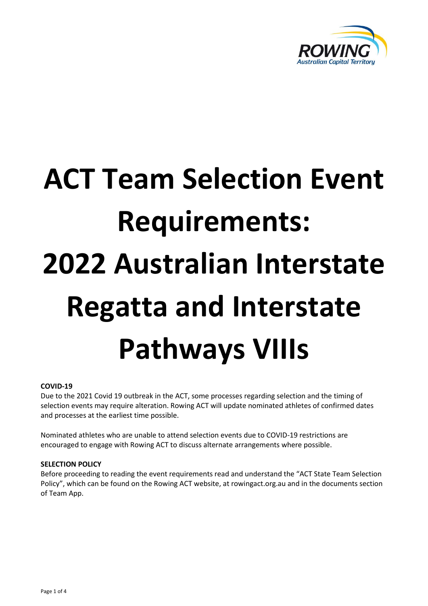

# **ACT Team Selection Event Requirements: 2022 Australian Interstate Regatta and Interstate Pathways VIIIs**

## **COVID-19**

Due to the 2021 Covid 19 outbreak in the ACT, some processes regarding selection and the timing of selection events may require alteration. Rowing ACT will update nominated athletes of confirmed dates and processes at the earliest time possible.

Nominated athletes who are unable to attend selection events due to COVID-19 restrictions are encouraged to engage with Rowing ACT to discuss alternate arrangements where possible.

## **SELECTION POLICY**

Before proceeding to reading the event requirements read and understand the "ACT State Team Selection Policy", which can be found on the Rowing ACT website, at rowingact.org.au and in the documents section of Team App.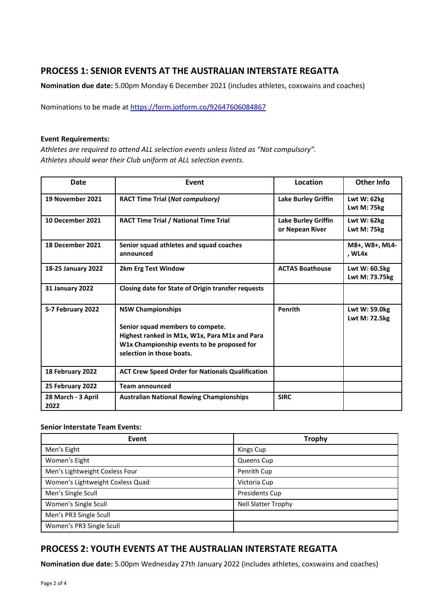# **PROCESS 1: SENIOR EVENTS AT THE AUSTRALIAN INTERSTATE REGATTA**

**Nomination due date:** 5.00pm Monday 6 December 2021 (includes athletes, coxswains and coaches)

Nominations to be made at <https://form.jotform.co/92647606084867>

#### **Event Requirements:**

*Athletes are required to attend ALL selection events unless listed as "Not compulsory". Athletes should wear their Club uniform at ALL selection events.* 

| <b>Date</b>                | Event                                                                                                                                                                                    | Location                               | <b>Other Info</b>                 |
|----------------------------|------------------------------------------------------------------------------------------------------------------------------------------------------------------------------------------|----------------------------------------|-----------------------------------|
| 19 November 2021           | <b>RACT Time Trial (Not compulsory)</b>                                                                                                                                                  | Lake Burley Griffin                    | Lwt $W: 62kg$<br>Lwt M: 75kg      |
| 10 December 2021           | <b>RACT Time Trial / National Time Trial</b>                                                                                                                                             | Lake Burley Griffin<br>or Nepean River | <b>Lwt W: 62kg</b><br>Lwt M: 75kg |
| 18 December 2021           | Senior squad athletes and squad coaches<br>announced                                                                                                                                     |                                        | M8+, W8+, ML4-<br>, WL4x          |
| 18-25 January 2022         | 2km Erg Test Window                                                                                                                                                                      | <b>ACTAS Boathouse</b>                 | Lwt W: 60.5kg<br>Lwt M: 73.75kg   |
| <b>31 January 2022</b>     | Closing date for State of Origin transfer requests                                                                                                                                       |                                        |                                   |
| 5-7 February 2022          | <b>NSW Championships</b><br>Senior squad members to compete.<br>Highest ranked in M1x, W1x, Para M1x and Para<br>W1x Championship events to be proposed for<br>selection in those boats. | Penrith                                | Lwt W: 59.0kg<br>Lwt M: 72.5kg    |
| 18 February 2022           | <b>ACT Crew Speed Order for Nationals Qualification</b>                                                                                                                                  |                                        |                                   |
| 25 February 2022           | <b>Team announced</b>                                                                                                                                                                    |                                        |                                   |
| 28 March - 3 April<br>2022 | <b>Australian National Rowing Championships</b>                                                                                                                                          | <b>SIRC</b>                            |                                   |

## **Senior Interstate Team Events:**

| Event                            | <b>Trophy</b>         |
|----------------------------------|-----------------------|
| Men's Eight                      | Kings Cup             |
| Women's Eight                    | Queens Cup            |
| Men's Lightweight Coxless Four   | Penrith Cup           |
| Women's Lightweight Coxless Quad | Victoria Cup          |
| Men's Single Scull               | <b>Presidents Cup</b> |
| Women's Single Scull             | Nell Slatter Trophy   |
| Men's PR3 Single Scull           |                       |
| Women's PR3 Single Scull         |                       |

# **PROCESS 2: YOUTH EVENTS AT THE AUSTRALIAN INTERSTATE REGATTA**

**Nomination due date:** 5.00pm Wednesday 27th January 2022 (includes athletes, coxswains and coaches)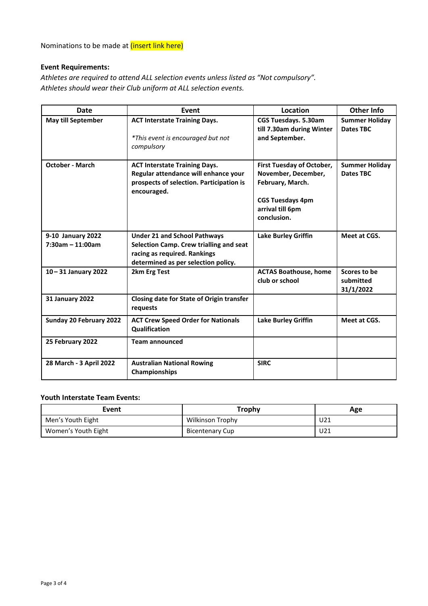Nominations to be made at *(insert link here)* 

## **Event Requirements:**

*Athletes are required to attend ALL selection events unless listed as "Not compulsory". Athletes should wear their Club uniform at ALL selection events.* 

| <b>Date</b>                             | Event                                                                                                                                                 | Location                                                                                                                           | <b>Other Info</b>                         |
|-----------------------------------------|-------------------------------------------------------------------------------------------------------------------------------------------------------|------------------------------------------------------------------------------------------------------------------------------------|-------------------------------------------|
| <b>May till September</b>               | <b>ACT Interstate Training Days.</b><br>*This event is encouraged but not<br>compulsory                                                               | <b>CGS Tuesdays. 5.30am</b><br>till 7.30am during Winter<br>and September.                                                         | <b>Summer Holiday</b><br><b>Dates TBC</b> |
| <b>October - March</b>                  | <b>ACT Interstate Training Days.</b><br>Regular attendance will enhance your<br>prospects of selection. Participation is<br>encouraged.               | First Tuesday of October,<br>November, December,<br>February, March.<br><b>CGS Tuesdays 4pm</b><br>arrival till 6pm<br>conclusion. | <b>Summer Holiday</b><br><b>Dates TBC</b> |
| 9-10 January 2022<br>$7:30am - 11:00am$ | <b>Under 21 and School Pathways</b><br>Selection Camp. Crew trialling and seat<br>racing as required. Rankings<br>determined as per selection policy. | <b>Lake Burley Griffin</b>                                                                                                         | Meet at CGS.                              |
| 10-31 January 2022                      | 2km Erg Test                                                                                                                                          | <b>ACTAS Boathouse, home</b><br>club or school                                                                                     | Scores to be<br>submitted<br>31/1/2022    |
| <b>31 January 2022</b>                  | Closing date for State of Origin transfer<br>requests                                                                                                 |                                                                                                                                    |                                           |
| Sunday 20 February 2022                 | <b>ACT Crew Speed Order for Nationals</b><br>Qualification                                                                                            | <b>Lake Burley Griffin</b>                                                                                                         | Meet at CGS.                              |
| 25 February 2022                        | <b>Team announced</b>                                                                                                                                 |                                                                                                                                    |                                           |
| 28 March - 3 April 2022                 | <b>Australian National Rowing</b><br>Championships                                                                                                    | <b>SIRC</b>                                                                                                                        |                                           |

## **Youth Interstate Team Events:**

| Event               | <b>Trophy</b>           | Age |
|---------------------|-------------------------|-----|
| Men's Youth Eight   | <b>Wilkinson Trophy</b> | U21 |
| Women's Youth Eight | <b>Bicentenary Cup</b>  | U21 |